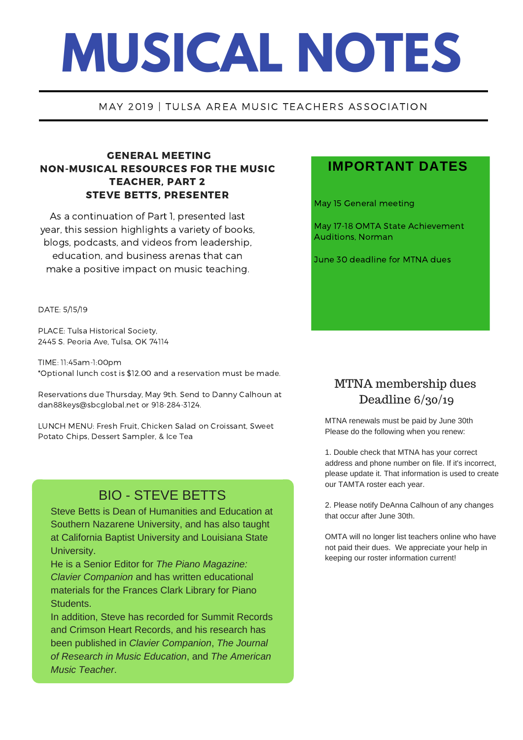# **MUSICAL NOTES**

#### MAY 2019 | TULSA AREA MUSIC TEACHERS ASSOCIATION

#### GENERAL MEETING NON-MUSICAL RESOURCES FOR THE MUSIC TEACHER, PART 2 STEVE BETTS, PRESENTER

As a continuation of Part 1, presented last year, this session highlights a variety of books, blogs, podcasts, and videos from leadership, education, and business arenas that can make a positive impact on music teaching.

DATE: 5/15/19

PLACE: Tulsa Historical Society, 2445 S. Peoria Ave, Tulsa, OK 74114

TIME: 11:45am-1:00pm \*Optional lunch cost is \$12.00 and a reservation must be made.

Reservations due Thursday, May 9th. Send to Danny Calhoun at dan88keys@sbcglobal.net or 918-284-3124.

LUNCH MENU: Fresh Fruit, Chicken Salad on Croissant, Sweet Potato Chips, Dessert Sampler, & Ice Tea

## BIO - STEVE BETTS

Steve Betts is Dean of Humanities and Education at Southern Nazarene University, and has also taught at California Baptist University and Louisiana State University.

He is a Senior Editor for *The Piano Magazine: Clavier Companion* and has written educational materials for the Frances Clark Library for Piano Students.

In addition, Steve has recorded for Summit Records and Crimson Heart Records, and his research has been published in *Clavier Companion*, *The Journal of Research in Music Education*, and *The American Music Teacher*.

### **IMPORTANT DATES**

May 15 General meeting

May 17-18 OMTA State Achievement Auditions, Norman

June 30 deadline for MTNA dues

## MTNA membership dues Deadline 6/30/19

MTNA renewals must be paid by June 30th Please do the following when you renew:

1. Double check that MTNA has your correct address and phone number on file. If it's incorrect, please update it. That information is used to create our TAMTA roster each year.

2. Please notify DeAnna Calhoun of any changes that occur after June 30th.

OMTA will no longer list teachers online who have not paid their dues. We appreciate your help in keeping our roster information current!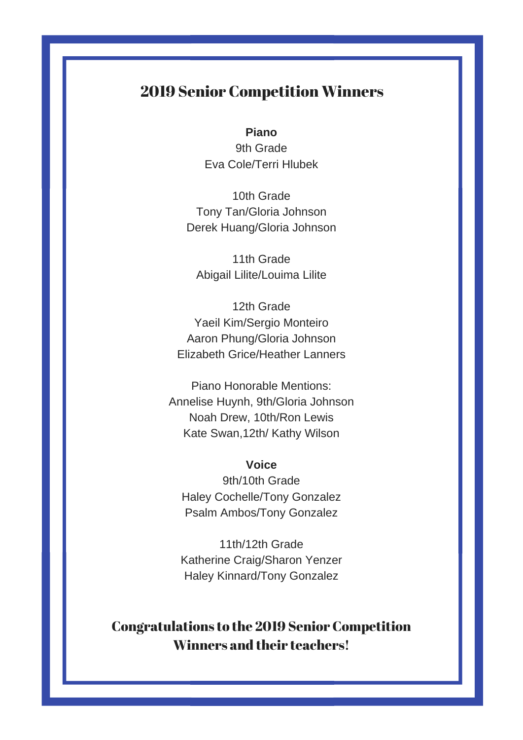## 2019 Senior Competition Winners

**Piano** 9th Grade Eva Cole/Terri Hlubek

10th Grade Tony Tan/Gloria Johnson Derek Huang/Gloria Johnson

11th Grade Abigail Lilite/Louima Lilite

12th Grade Yaeil Kim/Sergio Monteiro Aaron Phung/Gloria Johnson Elizabeth Grice/Heather Lanners

Piano Honorable Mentions: Annelise Huynh, 9th/Gloria Johnson Noah Drew, 10th/Ron Lewis Kate Swan,12th/ Kathy Wilson

**Voice**

9th/10th Grade Haley Cochelle/Tony Gonzalez Psalm Ambos/Tony Gonzalez

11th/12th Grade Katherine Craig/Sharon Yenzer Haley Kinnard/Tony Gonzalez

# Congratulations to the 2019 Senior Competition Winners and their teachers!